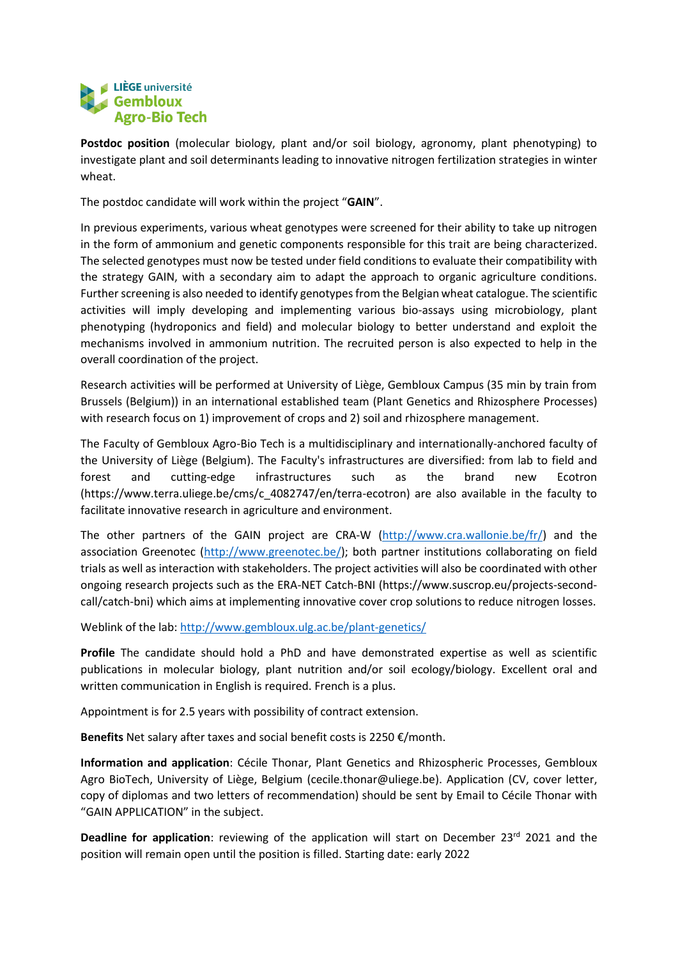

**Postdoc position** (molecular biology, plant and/or soil biology, agronomy, plant phenotyping) to investigate plant and soil determinants leading to innovative nitrogen fertilization strategies in winter wheat.

The postdoc candidate will work within the project "**GAIN**".

In previous experiments, various wheat genotypes were screened for their ability to take up nitrogen in the form of ammonium and genetic components responsible for this trait are being characterized. The selected genotypes must now be tested under field conditions to evaluate their compatibility with the strategy GAIN, with a secondary aim to adapt the approach to organic agriculture conditions. Further screening is also needed to identify genotypes from the Belgian wheat catalogue. The scientific activities will imply developing and implementing various bio-assays using microbiology, plant phenotyping (hydroponics and field) and molecular biology to better understand and exploit the mechanisms involved in ammonium nutrition. The recruited person is also expected to help in the overall coordination of the project.

Research activities will be performed at University of Liège, Gembloux Campus (35 min by train from Brussels (Belgium)) in an international established team (Plant Genetics and Rhizosphere Processes) with research focus on 1) improvement of crops and 2) soil and rhizosphere management.

The Faculty of Gembloux Agro-Bio Tech is a multidisciplinary and internationally-anchored faculty of the University of Liège (Belgium). The Faculty's infrastructures are diversified: from lab to field and forest and cutting-edge infrastructures such as the brand new Ecotron (https://www.terra.uliege.be/cms/c\_4082747/en/terra-ecotron) are also available in the faculty to facilitate innovative research in agriculture and environment.

The other partners of the GAIN project are CRA-W [\(http://www.cra.wallonie.be/fr/\)](http://www.cra.wallonie.be/fr/) and the association Greenotec [\(http://www.greenotec.be/\)](http://www.greenotec.be/); both partner institutions collaborating on field trials as well as interaction with stakeholders. The project activities will also be coordinated with other ongoing research projects such as the ERA-NET Catch-BNI (https://www.suscrop.eu/projects-secondcall/catch-bni) which aims at implementing innovative cover crop solutions to reduce nitrogen losses.

Weblink of the lab:<http://www.gembloux.ulg.ac.be/plant-genetics/>

**Profile** The candidate should hold a PhD and have demonstrated expertise as well as scientific publications in molecular biology, plant nutrition and/or soil ecology/biology. Excellent oral and written communication in English is required. French is a plus.

Appointment is for 2.5 years with possibility of contract extension.

**Benefits** Net salary after taxes and social benefit costs is 2250 €/month.

**Information and application**: Cécile Thonar, Plant Genetics and Rhizospheric Processes, Gembloux Agro BioTech, University of Liège, Belgium (cecile.thonar@uliege.be). Application (CV, cover letter, copy of diplomas and two letters of recommendation) should be sent by Email to Cécile Thonar with "GAIN APPLICATION" in the subject.

**Deadline for application**: reviewing of the application will start on December 23<sup>rd</sup> 2021 and the position will remain open until the position is filled. Starting date: early 2022